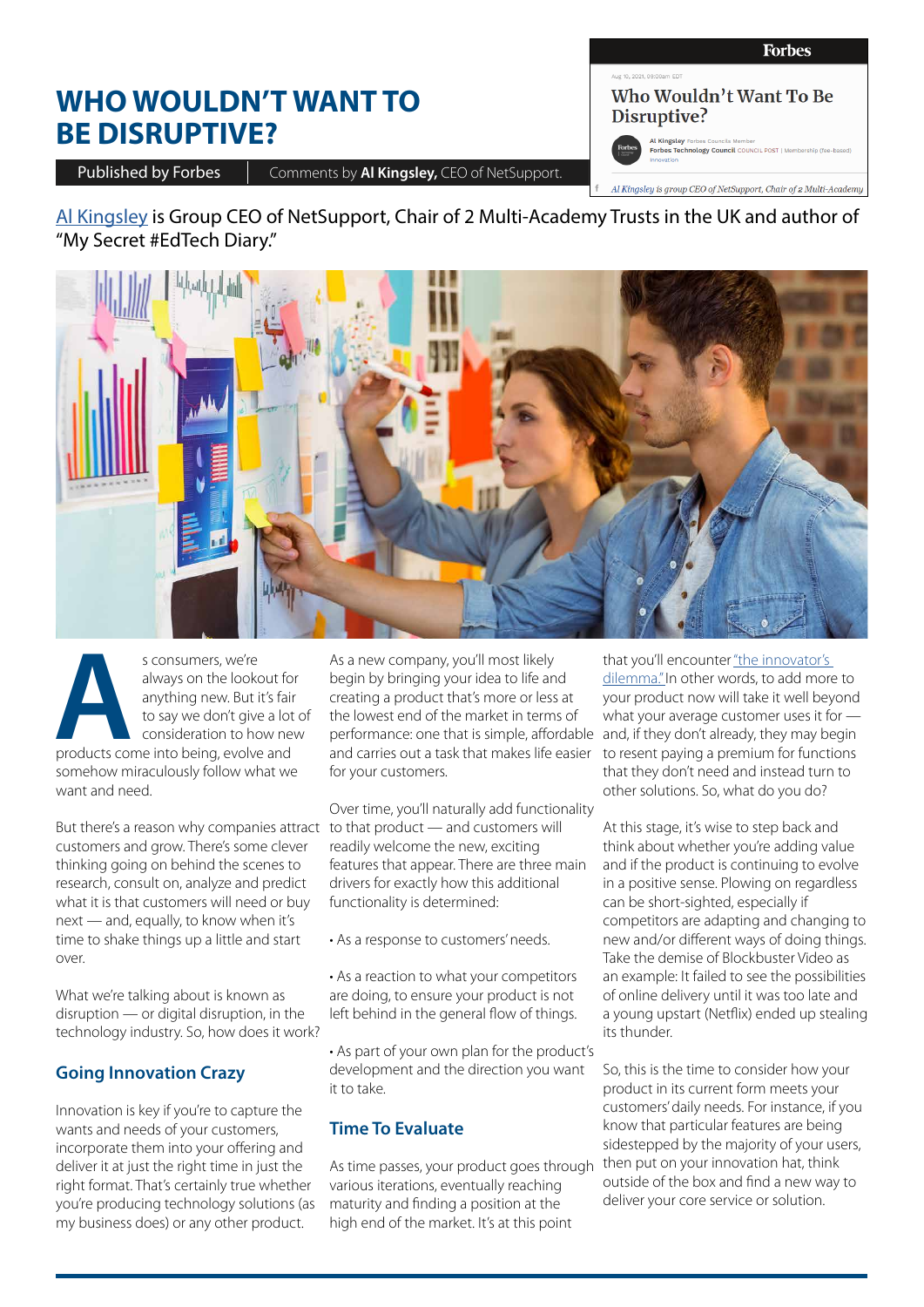#### **Forbes**

# **WHO WOULDN'T WANT TO BE DISRUPTIVE?**

Published by Forbes | Comments by Al Kingsley, CEO of NetSupport.

Al Kingsley is group CEO of NetSupport, Chair of 2 Multi-Academy

Al Kingsley Forbes Councils Member<br>Forbes Technology Council COUNCIL POST | Membership (fee-based)

Who Wouldn't Want To Be

Aug 10, 2021, 09:00am EDT

Disruptive?

[Al Kingsley](https://www.alkingsley.com/) is Group CEO of NetSupport, Chair of 2 Multi-Academy Trusts in the UK and author of "My Secret #EdTech Diary."



S consumers, we're<br>
always on the lookout fo<br>
anything new. But it's fail<br>
to say we don't give a lot<br>
consideration to how ne<br>
products come into being, evolve and always on the lookout for anything new. But it's fair to say we don't give a lot of consideration to how new somehow miraculously follow what we want and need.

But there's a reason why companies attract customers and grow. There's some clever thinking going on behind the scenes to research, consult on, analyze and predict what it is that customers will need or buy next — and, equally, to know when it's time to shake things up a little and start over.

What we're talking about is known as disruption — or digital disruption, in the technology industry. So, how does it work?

## **Going Innovation Crazy**

Innovation is key if you're to capture the wants and needs of your customers, incorporate them into your offering and deliver it at just the right time in just the right format. That's certainly true whether you're producing technology solutions (as my business does) or any other product.

As a new company, you'll most likely begin by bringing your idea to life and creating a product that's more or less at the lowest end of the market in terms of performance: one that is simple, affordable and carries out a task that makes life easier for your customers.

Over time, you'll naturally add functionality to that product — and customers will readily welcome the new, exciting features that appear. There are three main drivers for exactly how this additional functionality is determined:

- As a response to customers' needs.
- As a reaction to what your competitors are doing, to ensure your product is not left behind in the general flow of things.

• As part of your own plan for the product's development and the direction you want it to take.

## **Time To Evaluate**

As time passes, your product goes through various iterations, eventually reaching maturity and finding a position at the high end of the market. It's at this point

that you'll encounter ["the innovator's](https://www.wired.com/insights/2014/12/understanding-the-innovators-dilemma/)  [dilemma." I](https://www.wired.com/insights/2014/12/understanding-the-innovators-dilemma/)n other words, to add more to your product now will take it well beyond what your average customer uses it for  $$ and, if they don't already, they may begin to resent paying a premium for functions that they don't need and instead turn to other solutions. So, what do you do?

At this stage, it's wise to step back and think about whether you're adding value and if the product is continuing to evolve in a positive sense. Plowing on regardless can be short-sighted, especially if competitors are adapting and changing to new and/or different ways of doing things. Take the demise of Blockbuster Video as an example: It failed to see the possibilities of online delivery until it was too late and a young upstart (Netflix) ended up stealing its thunder.

So, this is the time to consider how your product in its current form meets your customers' daily needs. For instance, if you know that particular features are being sidestepped by the majority of your users, then put on your innovation hat, think outside of the box and find a new way to deliver your core service or solution.